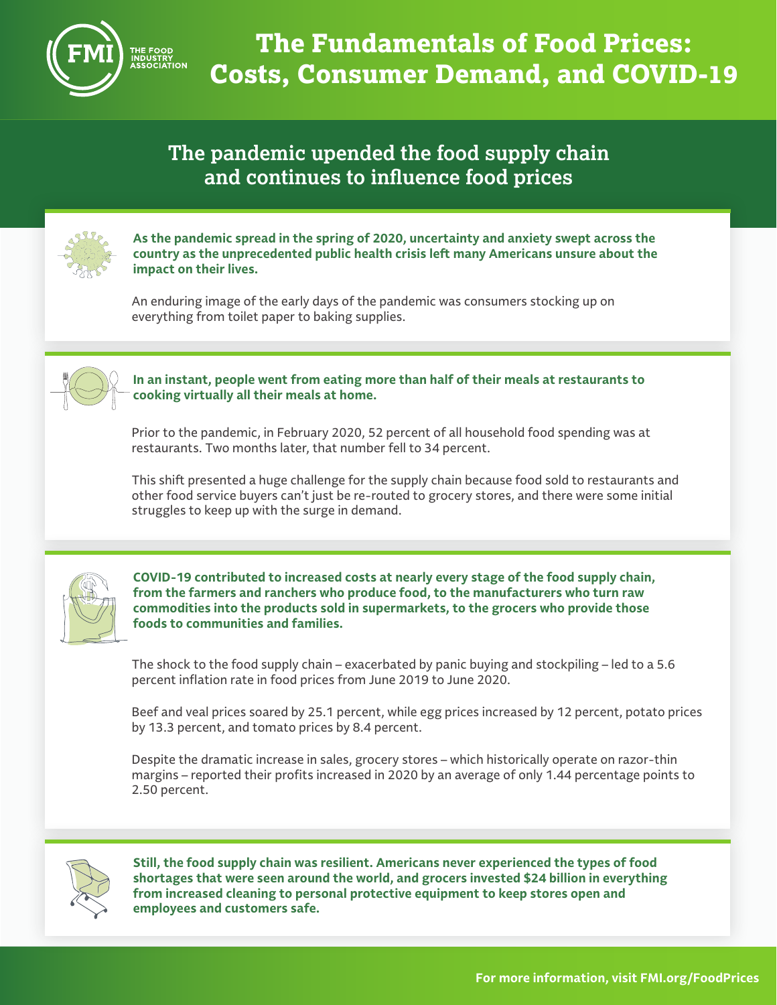

## **The pandemic upended the food supply chain and continues to influence food prices**



**As the pandemic spread in the spring of 2020, uncertainty and anxiety swept across the country as the unprecedented public health crisis left many Americans unsure about the impact on their lives.**

An enduring image of the early days of the pandemic was consumers stocking up on everything from toilet paper to baking supplies.



## **In an instant, people went from eating more than half of their meals at restaurants to cooking virtually all their meals at home.**

Prior to the pandemic, in February 2020, 52 percent of all household food spending was at restaurants. Two months later, that number fell to 34 percent.

This shift presented a huge challenge for the supply chain because food sold to restaurants and other food service buyers can't just be re-routed to grocery stores, and there were some initial struggles to keep up with the surge in demand.



**COVID-19 contributed to increased costs at nearly every stage of the food supply chain, from the farmers and ranchers who produce food, to the manufacturers who turn raw commodities into the products sold in supermarkets, to the grocers who provide those foods to communities and families.**

The shock to the food supply chain – exacerbated by panic buying and stockpiling – led to a 5.6 percent inflation rate in food prices from June 2019 to June 2020.

Beef and veal prices soared by 25.1 percent, while egg prices increased by 12 percent, potato prices by 13.3 percent, and tomato prices by 8.4 percent.

Despite the dramatic increase in sales, grocery stores – which historically operate on razor-thin margins – reported their profits increased in 2020 by an average of only 1.44 percentage points to 2.50 percent.



**Still, the food supply chain was resilient. Americans never experienced the types of food shortages that were seen around the world, and grocers invested \$24 billion in everything from increased cleaning to personal protective equipment to keep stores open and employees and customers safe.**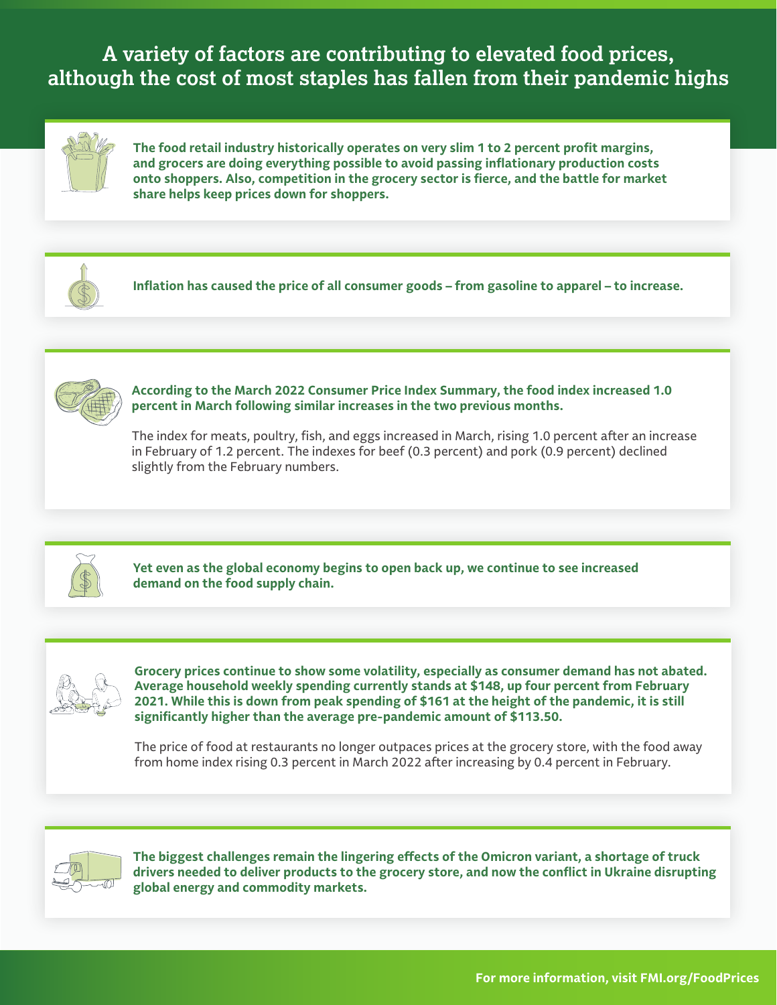**A variety of factors are contributing to elevated food prices, although the cost of most staples has fallen from their pandemic highs**



**The food retail industry historically operates on very slim 1 to 2 percent profit margins, and grocers are doing everything possible to avoid passing inflationary production costs onto shoppers. Also, competition in the grocery sector is fierce, and the battle for market share helps keep prices down for shoppers.**



**Inflation has caused the price of all consumer goods – from gasoline to apparel – to increase.**



**According to the March 2022 Consumer Price Index Summary, the food index increased 1.0 percent in March following similar increases in the two previous months.**

The index for meats, poultry, fish, and eggs increased in March, rising 1.0 percent after an increase in February of 1.2 percent. The indexes for beef (0.3 percent) and pork (0.9 percent) declined slightly from the February numbers.



**Yet even as the global economy begins to open back up, we continue to see increased demand on the food supply chain.**



**Grocery prices continue to show some volatility, especially as consumer demand has not abated. Average household weekly spending currently stands at \$148, up four percent from February 2021. While this is down from peak spending of \$161 at the height of the pandemic, it is still significantly higher than the average pre-pandemic amount of \$113.50.**

The price of food at restaurants no longer outpaces prices at the grocery store, with the food away from home index rising 0.3 percent in March 2022 after increasing by 0.4 percent in February.



**The biggest challenges remain the lingering effects of the Omicron variant, a shortage of truck drivers needed to deliver products to the grocery store, and now the conflict in Ukraine disrupting global energy and commodity markets.**